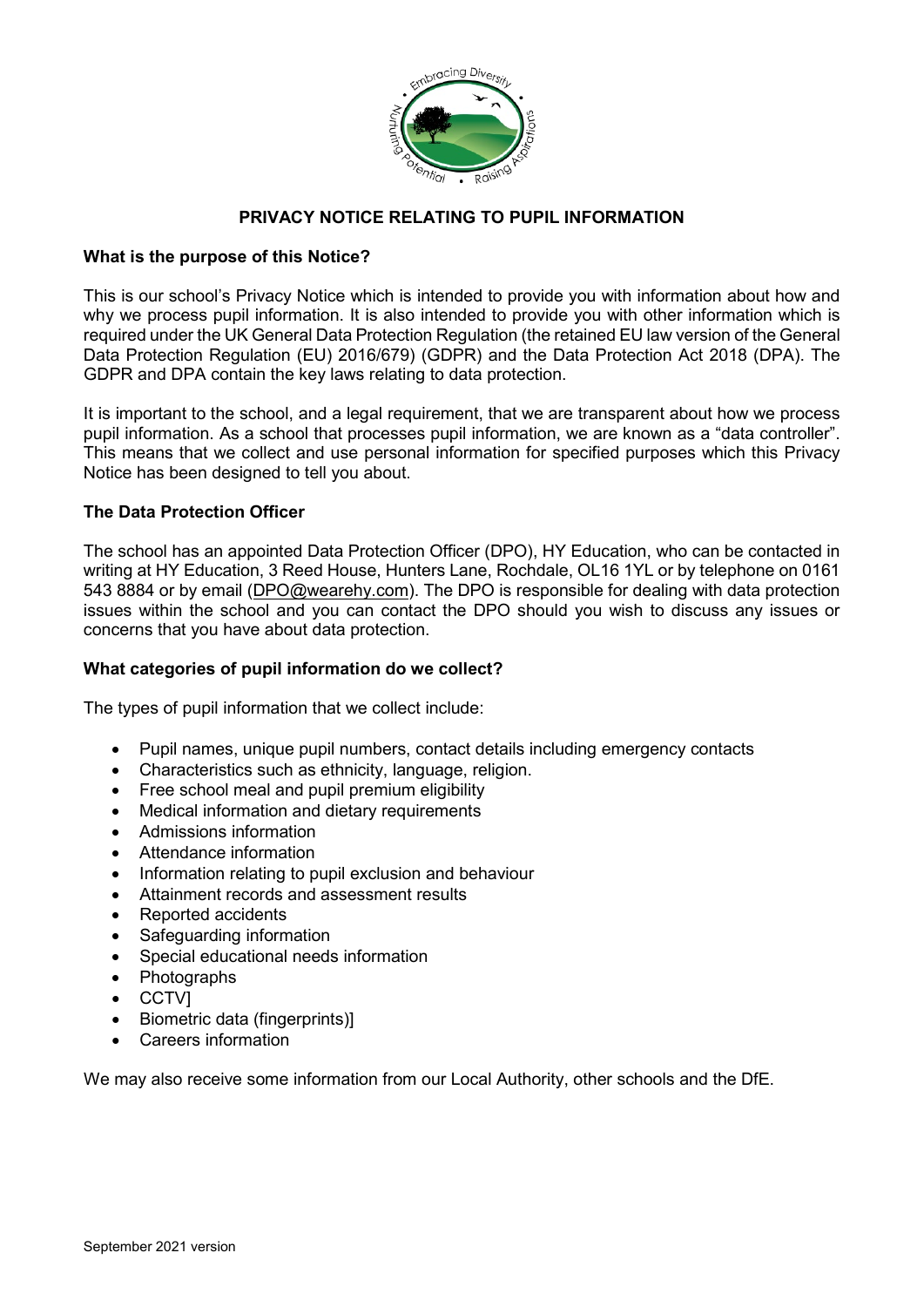

### **PRIVACY NOTICE RELATING TO PUPIL INFORMATION**

#### **What is the purpose of this Notice?**

This is our school's Privacy Notice which is intended to provide you with information about how and why we process pupil information. It is also intended to provide you with other information which is required under the UK General Data Protection Regulation (the retained EU law version of the General Data Protection Regulation (EU) 2016/679) (GDPR) and the Data Protection Act 2018 (DPA). The GDPR and DPA contain the key laws relating to data protection.

It is important to the school, and a legal requirement, that we are transparent about how we process pupil information. As a school that processes pupil information, we are known as a "data controller". This means that we collect and use personal information for specified purposes which this Privacy Notice has been designed to tell you about.

#### **The Data Protection Officer**

The school has an appointed Data Protection Officer (DPO), HY Education, who can be contacted in writing at HY Education, 3 Reed House, Hunters Lane, Rochdale, OL16 1YL or by telephone on 0161 543 8884 or by email [\(DPO@wearehy.com\)](mailto:DPO@wearehy.com). The DPO is responsible for dealing with data protection issues within the school and you can contact the DPO should you wish to discuss any issues or concerns that you have about data protection.

#### **What categories of pupil information do we collect?**

The types of pupil information that we collect include:

- Pupil names, unique pupil numbers, contact details including emergency contacts
- Characteristics such as ethnicity, language, religion.
- Free school meal and pupil premium eligibility
- Medical information and dietary requirements
- Admissions information
- Attendance information
- Information relating to pupil exclusion and behaviour
- Attainment records and assessment results
- Reported accidents
- Safeguarding information
- Special educational needs information
- Photographs
- CCTV]
- Biometric data (fingerprints)]
- Careers information

We may also receive some information from our Local Authority, other schools and the DfE.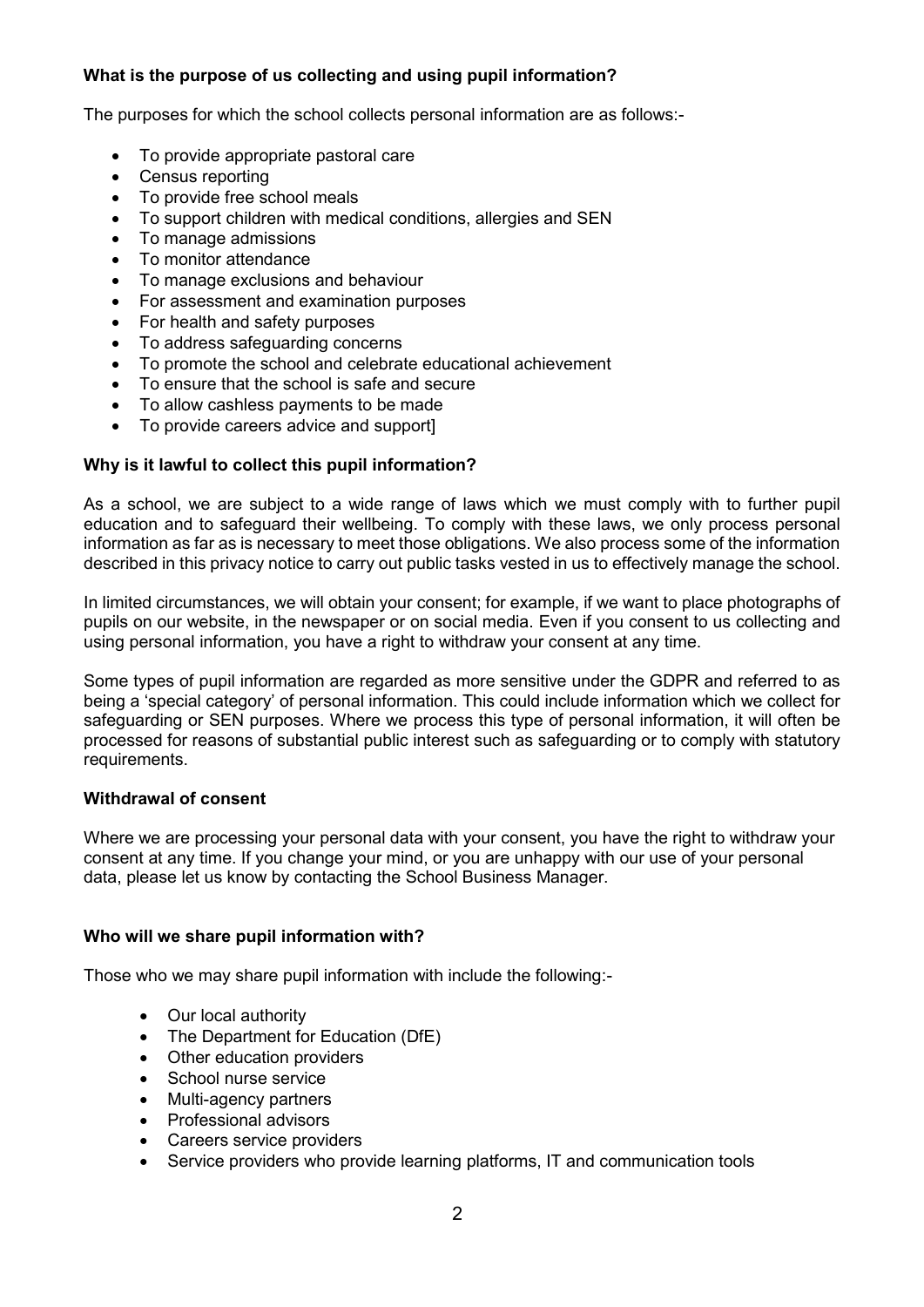# **What is the purpose of us collecting and using pupil information?**

The purposes for which the school collects personal information are as follows:-

- To provide appropriate pastoral care
- Census reporting
- To provide free school meals
- To support children with medical conditions, allergies and SEN
- To manage admissions
- To monitor attendance
- To manage exclusions and behaviour
- For assessment and examination purposes
- For health and safety purposes
- To address safeguarding concerns
- To promote the school and celebrate educational achievement
- To ensure that the school is safe and secure
- To allow cashless payments to be made
- To provide careers advice and support]

## **Why is it lawful to collect this pupil information?**

As a school, we are subject to a wide range of laws which we must comply with to further pupil education and to safeguard their wellbeing. To comply with these laws, we only process personal information as far as is necessary to meet those obligations. We also process some of the information described in this privacy notice to carry out public tasks vested in us to effectively manage the school.

In limited circumstances, we will obtain your consent; for example, if we want to place photographs of pupils on our website, in the newspaper or on social media. Even if you consent to us collecting and using personal information, you have a right to withdraw your consent at any time.

Some types of pupil information are regarded as more sensitive under the GDPR and referred to as being a 'special category' of personal information. This could include information which we collect for safeguarding or SEN purposes. Where we process this type of personal information, it will often be processed for reasons of substantial public interest such as safeguarding or to comply with statutory requirements.

#### **Withdrawal of consent**

Where we are processing your personal data with your consent, you have the right to withdraw your consent at any time. If you change your mind, or you are unhappy with our use of your personal data, please let us know by contacting the School Business Manager.

#### **Who will we share pupil information with?**

Those who we may share pupil information with include the following:-

- Our local authority
- The Department for Education (DfE)
- Other education providers
- School nurse service
- Multi-agency partners
- Professional advisors
- Careers service providers
- Service providers who provide learning platforms, IT and communication tools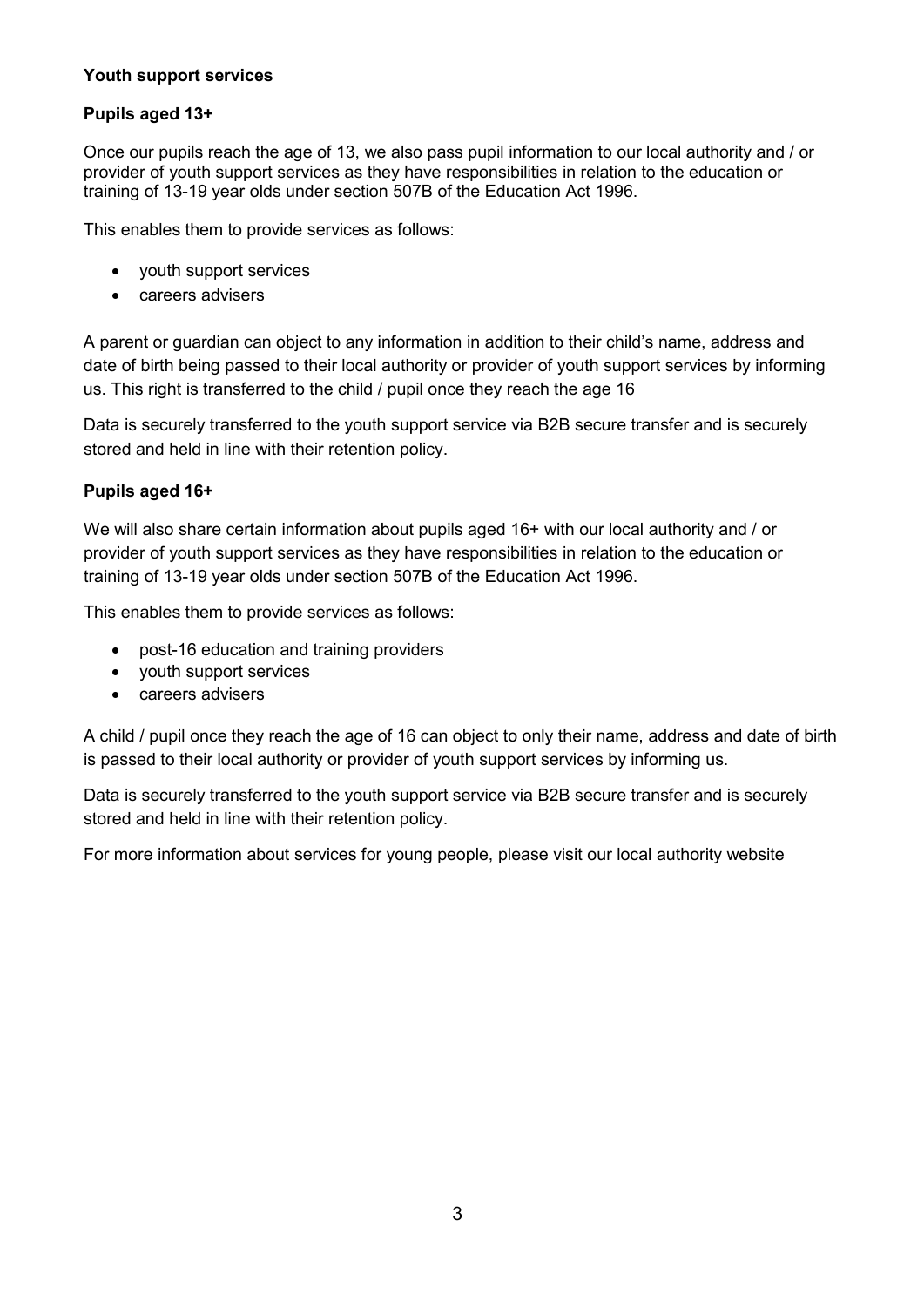# **Youth support services**

# **Pupils aged 13+**

Once our pupils reach the age of 13, we also pass pupil information to our local authority and / or provider of youth support services as they have responsibilities in relation to the education or training of 13-19 year olds under section 507B of the Education Act 1996.

This enables them to provide services as follows:

- youth support services
- careers advisers

A parent or guardian can object to any information in addition to their child's name, address and date of birth being passed to their local authority or provider of youth support services by informing us. This right is transferred to the child / pupil once they reach the age 16

Data is securely transferred to the youth support service via B2B secure transfer and is securely stored and held in line with their retention policy.

## **Pupils aged 16+**

We will also share certain information about pupils aged 16+ with our local authority and / or provider of youth support services as they have responsibilities in relation to the education or training of 13-19 year olds under section 507B of the Education Act 1996.

This enables them to provide services as follows:

- post-16 education and training providers
- youth support services
- careers advisers

A child / pupil once they reach the age of 16 can object to only their name, address and date of birth is passed to their local authority or provider of youth support services by informing us.

Data is securely transferred to the youth support service via B2B secure transfer and is securely stored and held in line with their retention policy.

For more information about services for young people, please visit our local authority website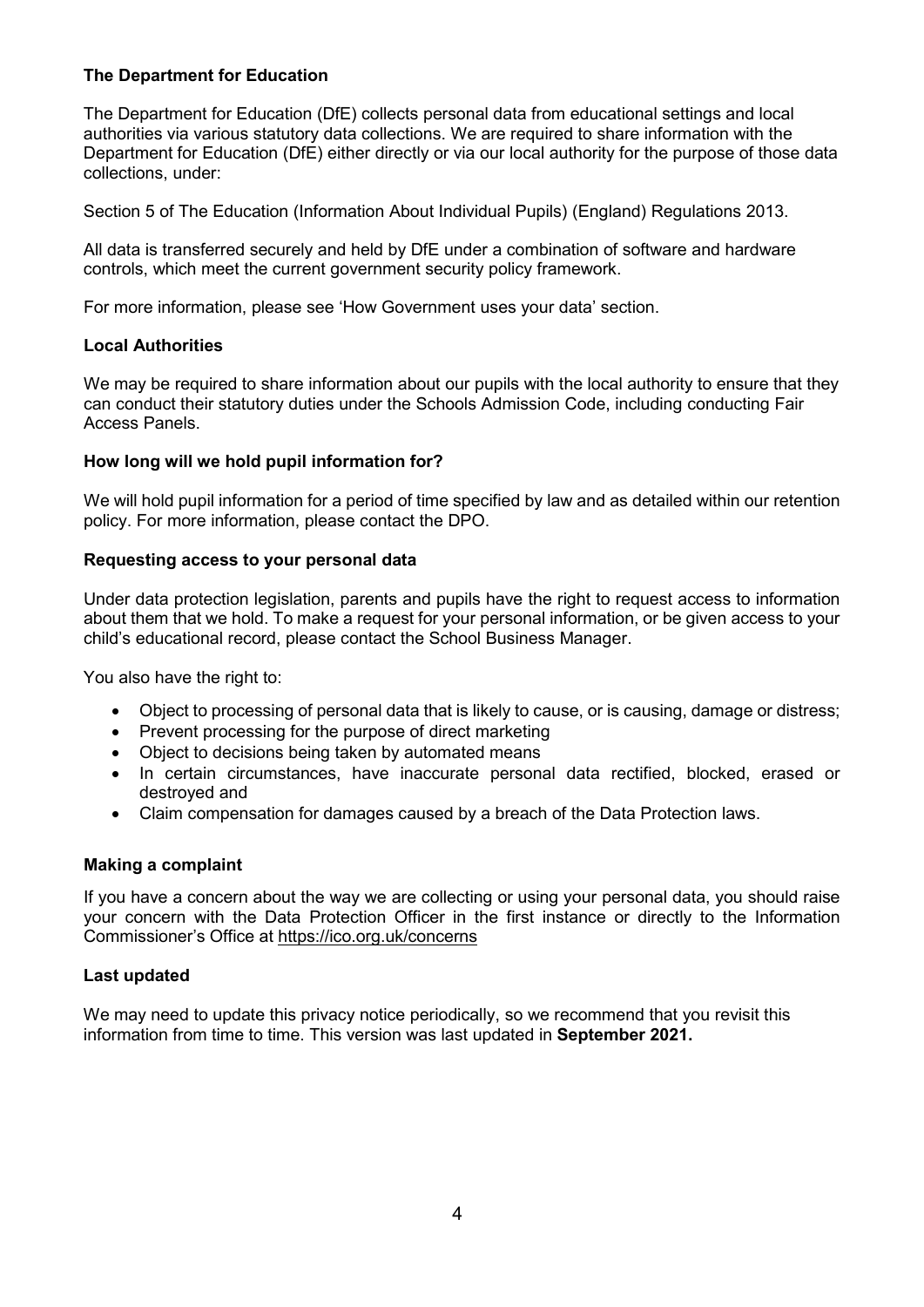## **The Department for Education**

The Department for Education (DfE) collects personal data from educational settings and local authorities via various statutory data collections. We are required to share information with the Department for Education (DfE) either directly or via our local authority for the purpose of those data collections, under:

Section 5 of The Education (Information About Individual Pupils) (England) Regulations 2013.

All data is transferred securely and held by DfE under a combination of software and hardware controls, which meet the current government security policy framework.

For more information, please see 'How Government uses your data' section.

#### **Local Authorities**

We may be required to share information about our pupils with the local authority to ensure that they can conduct their statutory duties under the Schools Admission Code, including conducting Fair Access Panels.

#### **How long will we hold pupil information for?**

We will hold pupil information for a period of time specified by law and as detailed within our retention policy. For more information, please contact the DPO.

#### **Requesting access to your personal data**

Under data protection legislation, parents and pupils have the right to request access to information about them that we hold. To make a request for your personal information, or be given access to your child's educational record, please contact the School Business Manager.

You also have the right to:

- Object to processing of personal data that is likely to cause, or is causing, damage or distress;
- Prevent processing for the purpose of direct marketing
- Object to decisions being taken by automated means
- In certain circumstances, have inaccurate personal data rectified, blocked, erased or destroyed and
- Claim compensation for damages caused by a breach of the Data Protection laws.

#### **Making a complaint**

If you have a concern about the way we are collecting or using your personal data, you should raise your concern with the Data Protection Officer in the first instance or directly to the Information Commissioner's Office at<https://ico.org.uk/concerns>

#### **Last updated**

We may need to update this privacy notice periodically, so we recommend that you revisit this information from time to time. This version was last updated in **September 2021.**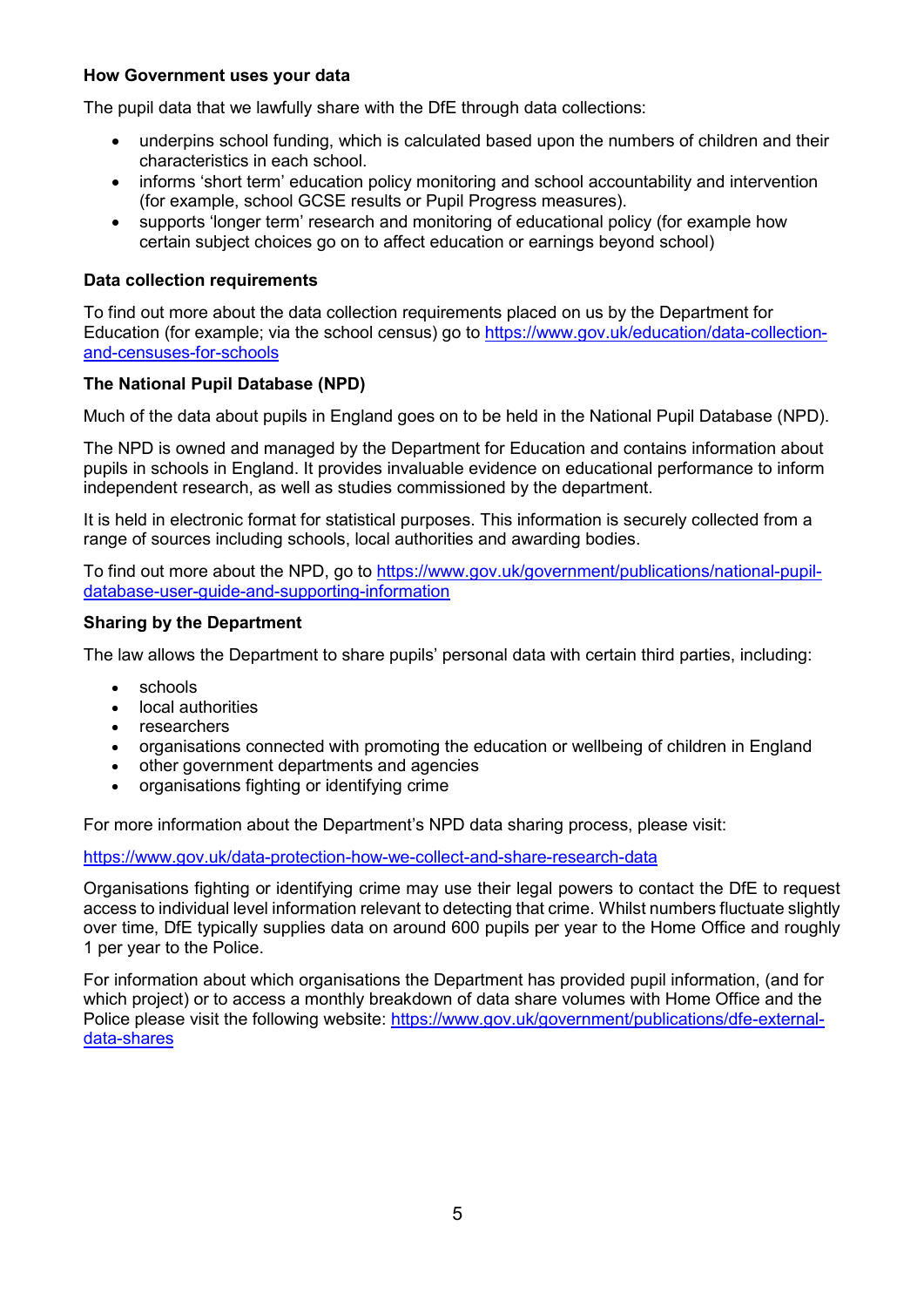### **How Government uses your data**

The pupil data that we lawfully share with the DfE through data collections:

- underpins school funding, which is calculated based upon the numbers of children and their characteristics in each school.
- informs 'short term' education policy monitoring and school accountability and intervention (for example, school GCSE results or Pupil Progress measures).
- supports 'longer term' research and monitoring of educational policy (for example how certain subject choices go on to affect education or earnings beyond school)

#### **Data collection requirements**

To find out more about the data collection requirements placed on us by the Department for Education (for example; via the school census) go to [https://www.gov.uk/education/data-collection](https://www.gov.uk/education/data-collection-and-censuses-for-schools)[and-censuses-for-schools](https://www.gov.uk/education/data-collection-and-censuses-for-schools)

## **The National Pupil Database (NPD)**

Much of the data about pupils in England goes on to be held in the National Pupil Database (NPD).

The NPD is owned and managed by the Department for Education and contains information about pupils in schools in England. It provides invaluable evidence on educational performance to inform independent research, as well as studies commissioned by the department.

It is held in electronic format for statistical purposes. This information is securely collected from a range of sources including schools, local authorities and awarding bodies.

To find out more about the NPD, go to [https://www.gov.uk/government/publications/national-pupil](https://www.gov.uk/government/publications/national-pupil-database-user-guide-and-supporting-information)[database-user-guide-and-supporting-information](https://www.gov.uk/government/publications/national-pupil-database-user-guide-and-supporting-information)

#### **Sharing by the Department**

The law allows the Department to share pupils' personal data with certain third parties, including:

- schools
- local authorities
- researchers
- organisations connected with promoting the education or wellbeing of children in England
- other government departments and agencies
- organisations fighting or identifying crime

For more information about the Department's NPD data sharing process, please visit:

<https://www.gov.uk/data-protection-how-we-collect-and-share-research-data>

Organisations fighting or identifying crime may use their legal powers to contact the DfE to request access to individual level information relevant to detecting that crime. Whilst numbers fluctuate slightly over time, DfE typically supplies data on around 600 pupils per year to the Home Office and roughly 1 per year to the Police.

For information about which organisations the Department has provided pupil information, (and for which project) or to access a monthly breakdown of data share volumes with Home Office and the Police please visit the following website: [https://www.gov.uk/government/publications/dfe-external](https://www.gov.uk/government/publications/dfe-external-data-shares)[data-shares](https://www.gov.uk/government/publications/dfe-external-data-shares)